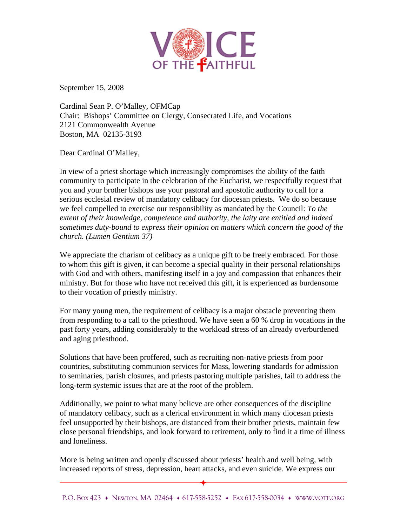

September 15, 2008

Cardinal Sean P. O'Malley, OFMCap Chair: Bishops' Committee on Clergy, Consecrated Life, and Vocations 2121 Commonwealth Avenue Boston, MA 02135-3193

Dear Cardinal O'Malley,

In view of a priest shortage which increasingly compromises the ability of the faith community to participate in the celebration of the Eucharist, we respectfully request that you and your brother bishops use your pastoral and apostolic authority to call for a serious ecclesial review of mandatory celibacy for diocesan priests. We do so because we feel compelled to exercise our responsibility as mandated by the Council: *To the extent of their knowledge, competence and authority, the laity are entitled and indeed sometimes duty-bound to express their opinion on matters which concern the good of the church. (Lumen Gentium 37)*

We appreciate the charism of celibacy as a unique gift to be freely embraced. For those to whom this gift is given, it can become a special quality in their personal relationships with God and with others, manifesting itself in a joy and compassion that enhances their ministry. But for those who have not received this gift, it is experienced as burdensome to their vocation of priestly ministry.

For many young men, the requirement of celibacy is a major obstacle preventing them from responding to a call to the priesthood. We have seen a 60 % drop in vocations in the past forty years, adding considerably to the workload stress of an already overburdened and aging priesthood.

Solutions that have been proffered, such as recruiting non-native priests from poor countries, substituting communion services for Mass, lowering standards for admission to seminaries, parish closures, and priests pastoring multiple parishes, fail to address the long-term systemic issues that are at the root of the problem.

Additionally, we point to what many believe are other consequences of the discipline of mandatory celibacy, such as a clerical environment in which many diocesan priests feel unsupported by their bishops, are distanced from their brother priests, maintain few close personal friendships, and look forward to retirement, only to find it a time of illness and loneliness.

More is being written and openly discussed about priests' health and well being, with increased reports of stress, depression, heart attacks, and even suicide. We express our

 $\overline{\phantom{0}}$